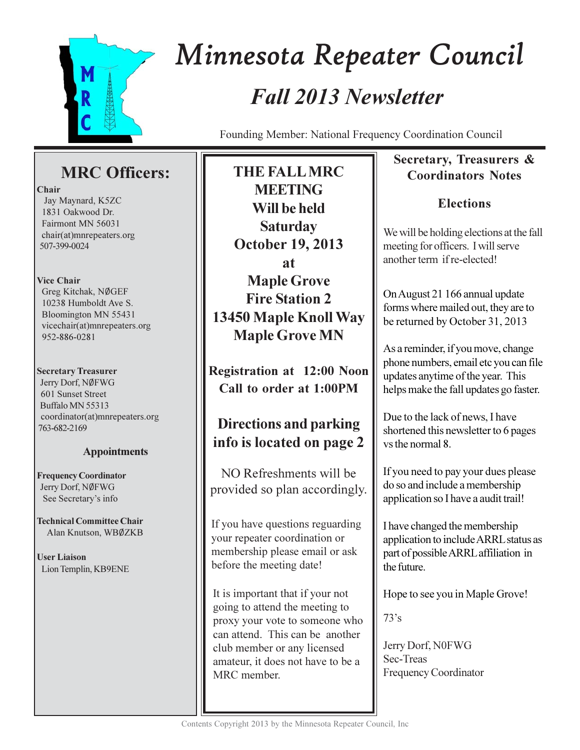

# Minnesota Repeater Council **Fall 2013 Newsletter**

Founding Member: National Frequency Coordination Council

# **MRC** Officers:

## Chair

Jay Maynard, K5ZC 1831 Oakwood Dr. Fairmont MN 56031 chair(at)mnrepeaters.org 507-399-0024

## **Vice Chair**

Greg Kitchak, NØGEF 10238 Humboldt Ave S. Bloomington MN 55431 vicechair(at)mnrepeaters.org 952-886-0281

## **Secretary Treasurer**

Jerry Dorf, NØFWG 601 Sunset Street Buffalo MN 55313 coordinator(at)mnrepeaters.org 763-682-2169

## **Appointments**

**Frequency Coordinator** Jerry Dorf, NØFWG See Secretary's info

**Technical Committee Chair** Alan Knutson, WBØZKB

**User Liaison** Lion Templin, KB9ENE

THE FALL MRC **MEETING** Will be held **Saturday October 19, 2013** at **Maple Grove Fire Station 2** 13450 Maple Knoll Way **Maple Grove MN** 

**Registration at 12:00 Noon** Call to order at 1:00PM

# **Directions and parking** info is located on page 2

NO Refreshments will be provided so plan accordingly.

If you have questions reguarding your repeater coordination or membership please email or ask before the meeting date!

It is important that if your not going to attend the meeting to proxy your vote to someone who can attend. This can be another club member or any licensed amateur, it does not have to be a MRC member.

## Secretary, Treasurers & **Coordinators Notes**

# **Elections**

We will be holding elections at the fall meeting for officers. I will serve another term if re-elected!

On August 21 166 annual update forms where mailed out, they are to be returned by October 31, 2013

As a reminder, if you move, change phone numbers, email etc you can file updates anytime of the year. This helps make the fall updates go faster.

Due to the lack of news, I have shortened this newsletter to 6 pages vs the normal 8.

If you need to pay your dues please do so and include a membership application so I have a audit trail!

I have changed the membership application to include ARRL status as part of possible ARRL affiliation in the future.

Hope to see you in Maple Grove!

 $73's$ 

Jerry Dorf, N0FWG Sec-Treas **Frequency Coordinator**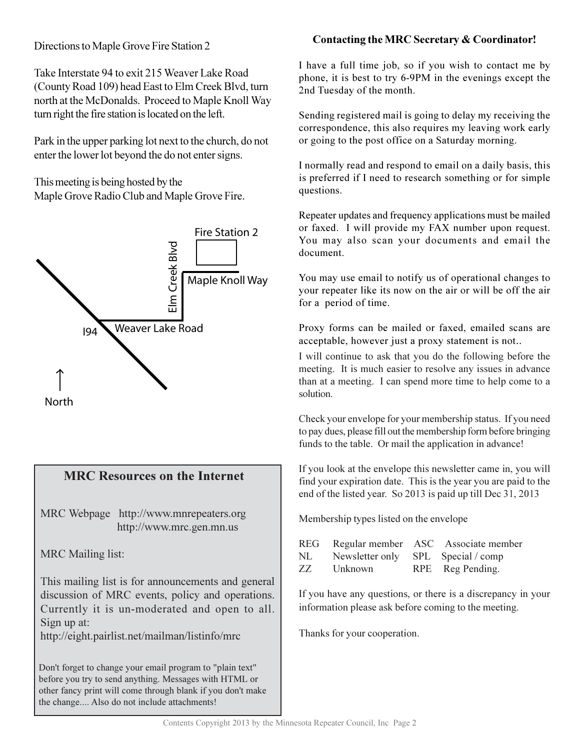## Directions to Maple Grove Fire Station 2

Take Interstate 94 to exit 215 Weaver Lake Road (County Road 109) head East to Elm Creek Blvd, turn north at the McDonalds. Proceed to Maple Knoll Way turn right the fire station is located on the left.

Park in the upper parking lot next to the church, do not enter the lower lot beyond the do not enter signs.

This meeting is being hosted by the Maple Grove Radio Club and Maple Grove Fire.



## **MRC Resources on the Internet**

MRC Webpage http://www.mnrepeaters.org http://www.mrc.gen.mn.us

**MRC** Mailing list:

This mailing list is for announcements and general discussion of MRC events, policy and operations. Currently it is un-moderated and open to all. Sign up at:

http://eight.pairlist.net/mailman/listinfo/mrc

Don't forget to change your email program to "plain text" before you try to send anything. Messages with HTML or other fancy print will come through blank if you don't make the change.... Also do not include attachments!

## Contacting the MRC Secretary & Coordinator!

I have a full time job, so if you wish to contact me by phone, it is best to try 6-9PM in the evenings except the 2nd Tuesday of the month.

Sending registered mail is going to delay my receiving the correspondence, this also requires my leaving work early or going to the post office on a Saturday morning.

I normally read and respond to email on a daily basis, this is preferred if I need to research something or for simple questions.

Repeater updates and frequency applications must be mailed or faxed. I will provide my FAX number upon request. You may also scan your documents and email the document

You may use email to notify us of operational changes to your repeater like its now on the air or will be off the air for a period of time.

Proxy forms can be mailed or faxed, emailed scans are acceptable, however just a proxy statement is not..

I will continue to ask that you do the following before the meeting. It is much easier to resolve any issues in advance than at a meeting. I can spend more time to help come to a solution.

Check your envelope for your membership status. If you need to pay dues, please fill out the membership form before bringing funds to the table. Or mail the application in advance!

If you look at the envelope this newsletter came in, you will find your expiration date. This is the year you are paid to the end of the listed year. So 2013 is paid up till Dec 31, 2013

Membership types listed on the envelope

|     |                                    | REG Regular member ASC Associate member |
|-----|------------------------------------|-----------------------------------------|
| NL  | Newsletter only SPL Special / comp |                                         |
| ZZ. | Unknown                            | RPE Reg Pending.                        |

If you have any questions, or there is a discrepancy in your information please ask before coming to the meeting.

Thanks for your cooperation.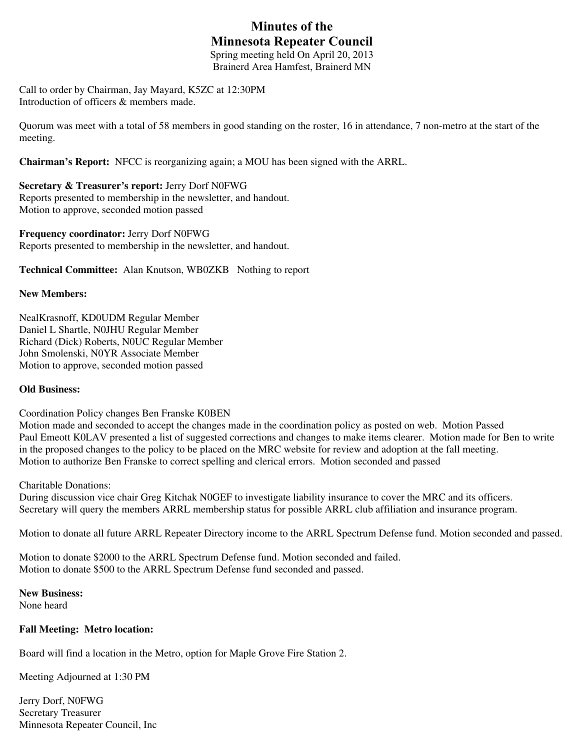# **Minutes of the Minnesota Repeater Council**

Spring meeting held On April 20, 2013 Brainerd Area Hamfest, Brainerd MN

Call to order by Chairman, Jay Mayard, K5ZC at 12:30PM Introduction of officers & members made.

Quorum was meet with a total of 58 members in good standing on the roster, 16 in attendance, 7 non-metro at the start of the meeting.

**Chairman's Report:** NFCC is reorganizing again; a MOU has been signed with the ARRL.

**Secretary & Treasurer's report:** Jerry Dorf N0FWG Reports presented to membership in the newsletter, and handout. Motion to approve, seconded motion passed

**Frequency coordinator:** Jerry Dorf N0FWG Reports presented to membership in the newsletter, and handout.

**Technical Committee:** Alan Knutson, WB0ZKB Nothing to report

#### **New Members:**

NealKrasnoff, KD0UDM Regular Member Daniel L Shartle, N0JHU Regular Member Richard (Dick) Roberts, N0UC Regular Member John Smolenski, N0YR Associate Member Motion to approve, seconded motion passed

#### **Old Business:**

Coordination Policy changes Ben Franske K0BEN

Motion made and seconded to accept the changes made in the coordination policy as posted on web. Motion Passed Paul Emeott K0LAV presented a list of suggested corrections and changes to make items clearer. Motion made for Ben to write in the proposed changes to the policy to be placed on the MRC website for review and adoption at the fall meeting. Motion to authorize Ben Franske to correct spelling and clerical errors. Motion seconded and passed

Charitable Donations:

During discussion vice chair Greg Kitchak N0GEF to investigate liability insurance to cover the MRC and its officers. Secretary will query the members ARRL membership status for possible ARRL club affiliation and insurance program.

Motion to donate all future ARRL Repeater Directory income to the ARRL Spectrum Defense fund. Motion seconded and passed.

Motion to donate \$2000 to the ARRL Spectrum Defense fund. Motion seconded and failed. Motion to donate \$500 to the ARRL Spectrum Defense fund seconded and passed.

**New Business:** 

None heard

#### **Fall Meeting: Metro location:**

Board will find a location in the Metro, option for Maple Grove Fire Station 2.

Meeting Adjourned at 1:30 PM

Jerry Dorf, N0FWG Secretary Treasurer Minnesota Repeater Council, Inc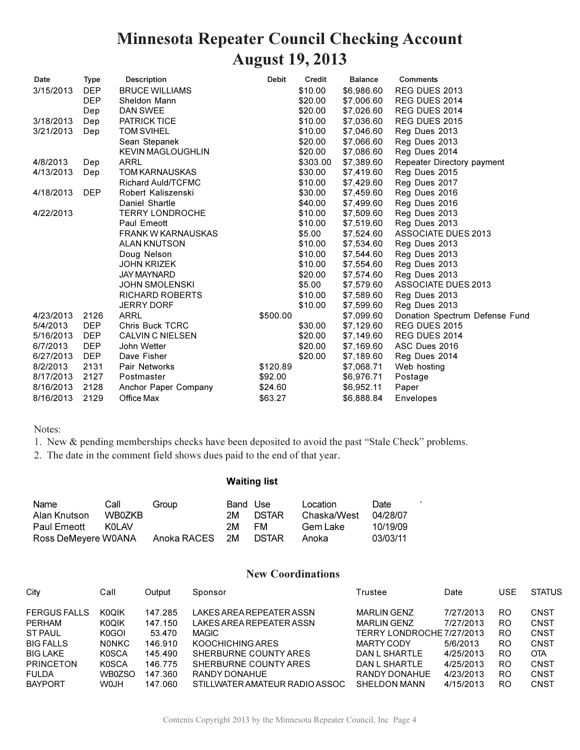# **Minnesota Repeater Council Checking Account August 19, 2013**

| Date      | <b>Type</b> | <b>Description</b>        | <b>Debit</b> | Credit   | <b>Balance</b> | <b>Comments</b>                |
|-----------|-------------|---------------------------|--------------|----------|----------------|--------------------------------|
| 3/15/2013 | <b>DEP</b>  | <b>BRUCE WILLIAMS</b>     |              | \$10.00  | \$6,986.60     | REG DUES 2013                  |
|           | <b>DEP</b>  | Sheldon Mann              |              | \$20.00  | \$7,006.60     | REG DUES 2014                  |
|           | Dep         | DAN SWEE                  |              | \$20.00  | \$7,026.60     | REG DUES 2014                  |
| 3/18/2013 | Dep         | <b>PATRICK TICE</b>       |              | \$10.00  | \$7,036.60     | REG DUES 2015                  |
| 3/21/2013 | Dep         | <b>TOM SVIHEL</b>         |              | \$10.00  | \$7,046.60     | Reg Dues 2013                  |
|           |             | Sean Stepanek             |              | \$20.00  | \$7,066.60     | Reg Dues 2013                  |
|           |             | <b>KEVIN MAGLOUGHLIN</b>  |              | \$20.00  | \$7,086.60     | Reg Dues 2014                  |
| 4/8/2013  | Dep         | <b>ARRL</b>               |              | \$303.00 | \$7,389.60     | Repeater Directory payment     |
| 4/13/2013 | Dep         | <b>TOM KARNAUSKAS</b>     |              | \$30.00  | \$7,419.60     | Reg Dues 2015                  |
|           |             | Richard Auld/TCFMC        |              | \$10.00  | \$7,429.60     | Reg Dues 2017                  |
| 4/18/2013 | <b>DEP</b>  | Robert Kaliszenski        |              | \$30.00  | \$7,459.60     | Reg Dues 2016                  |
|           |             | Daniel Shartle            |              | \$40.00  | \$7,499.60     | Reg Dues 2016                  |
| 4/22/2013 |             | <b>TERRY LONDROCHE</b>    |              | \$10.00  | \$7,509.60     | Reg Dues 2013                  |
|           |             | Paul Emeott               |              | \$10.00  | \$7,519.60     | Reg Dues 2013                  |
|           |             | <b>FRANK W KARNAUSKAS</b> |              | \$5.00   | \$7,524.60     | <b>ASSOCIATE DUES 2013</b>     |
|           |             | <b>ALAN KNUTSON</b>       |              | \$10.00  | \$7,534.60     | Reg Dues 2013                  |
|           |             | Doug Nelson               |              | \$10.00  | \$7,544.60     | Reg Dues 2013                  |
|           |             | <b>JOHN KRIZEK</b>        |              | \$10.00  | \$7,554.60     | Reg Dues 2013                  |
|           |             | <b>JAY MAYNARD</b>        |              | \$20.00  | \$7,574.60     | Reg Dues 2013                  |
|           |             | <b>JOHN SMOLENSKI</b>     |              | \$5.00   | \$7,579.60     | <b>ASSOCIATE DUES 2013</b>     |
|           |             | RICHARD ROBERTS           |              | \$10.00  | \$7,589.60     | Reg Dues 2013                  |
|           |             | <b>JERRY DORF</b>         |              | \$10.00  | \$7,599.60     | Reg Dues 2013                  |
| 4/23/2013 | 2126        | <b>ARRL</b>               | \$500.00     |          | \$7,099.60     | Donation Spectrum Defense Fund |
| 5/4/2013  | DEP         | <b>Chris Buck TCRC</b>    |              | \$30.00  | \$7,129.60     | REG DUES 2015                  |
| 5/16/2013 | <b>DEP</b>  | <b>CALVIN C NIELSEN</b>   |              | \$20.00  | \$7,149.60     | REG DUES 2014                  |
| 6/7/2013  | <b>DEP</b>  | John Wetter               |              | \$20.00  | \$7,169.60     | ASC Dues 2016                  |
| 6/27/2013 | <b>DEP</b>  | Dave Fisher               |              | \$20.00  | \$7,189.60     | Reg Dues 2014                  |
| 8/2/2013  | 2131        | Pair Networks             | \$120.89     |          | \$7,068.71     | Web hosting                    |
| 8/17/2013 | 2127        | Postmaster                | \$92.00      |          | \$6,976.71     | Postage                        |
| 8/16/2013 | 2128        | Anchor Paper Company      | \$24.60      |          | \$6,952.11     | Paper                          |
| 8/16/2013 | 2129        | Office Max                | \$63.27      |          | \$6,888.84     | Envelopes                      |

### Notes:

1. New & pending memberships checks have been deposited to avoid the past "Stale Check" problems.

2. The date in the comment field shows dues paid to the end of that year.

### **Waiting list**

| Name                | Call   | Group          | Band Use |              | Location    | Date.    |
|---------------------|--------|----------------|----------|--------------|-------------|----------|
| Alan Knutson        | WB0ZKB |                | 2M.      | <b>DSTAR</b> | Chaska/West | 04/28/07 |
| <b>Paul Emeott</b>  | KOL AV |                | 2M       | FM.          | Gem Lake    | 10/19/09 |
| Ross DeMeyere W0ANA |        | Anoka RACES 2M |          | <b>DSTAR</b> | Anoka       | 03/03/11 |

### **New Coordinations**

 $\epsilon$ 

| City                | Call         | Output  | Sponsor                        | Trustee                   | Date      | <b>USE</b> | <b>STATUS</b> |
|---------------------|--------------|---------|--------------------------------|---------------------------|-----------|------------|---------------|
| <b>FERGUS FALLS</b> | <b>K0OIK</b> | 147.285 | LAKES AREA REPEATER ASSN       | <b>MARLIN GENZ</b>        | 7/27/2013 | RO.        | CNST          |
| PERHAM              | <b>KOQIK</b> | 147.150 | LAKES AREA REPEATER ASSN       | <b>MARLIN GENZ</b>        | 7/27/2013 | RO.        | CNST          |
| <b>ST PAUL</b>      | K0GOI        | 53.470  | MAGIC                          | TERRY LONDROCHE 7/27/2013 |           | RO.        | CNST          |
| <b>BIG FALLS</b>    | <b>NONKC</b> | 146.910 | KOOCHICHING ARES               | MARTY CODY                | 5/6/2013  | RO.        | CNST          |
| <b>BIG LAKE</b>     | <b>K0SCA</b> | 145.490 | SHERBURNE COUNTY ARES          | DAN L SHARTLE             | 4/25/2013 | RO.        | <b>OTA</b>    |
| <b>PRINCETON</b>    | <b>K0SCA</b> | 146.775 | SHERBURNE COUNTY ARES          | DAN L SHARTLE             | 4/25/2013 | RO.        | CNST          |
| <b>FULDA</b>        | WB0ZSO       | 147.360 | RANDY DONAHUE                  | RANDY DONAHUE             | 4/23/2013 | RO.        | <b>CNST</b>   |
| <b>BAYPORT</b>      | <b>HLOW</b>  | 147.060 | STILLWATER AMATEUR RADIO ASSOC | <b>SHELDON MANN</b>       | 4/15/2013 | RO.        | CNST          |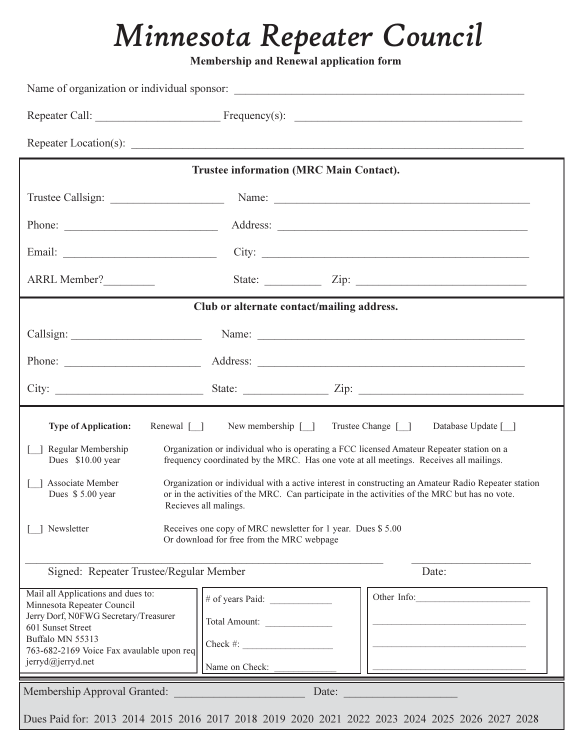# *Minnesota Repeater Council*

**Membership and Renewal application form** 

|                                                                                                                                                                                                                      | <b>Trustee information (MRC Main Contact).</b>                                                                                                             |                                                                                                                                                                                                                                                                                                                                                                                                                                          |
|----------------------------------------------------------------------------------------------------------------------------------------------------------------------------------------------------------------------|------------------------------------------------------------------------------------------------------------------------------------------------------------|------------------------------------------------------------------------------------------------------------------------------------------------------------------------------------------------------------------------------------------------------------------------------------------------------------------------------------------------------------------------------------------------------------------------------------------|
|                                                                                                                                                                                                                      |                                                                                                                                                            |                                                                                                                                                                                                                                                                                                                                                                                                                                          |
|                                                                                                                                                                                                                      |                                                                                                                                                            |                                                                                                                                                                                                                                                                                                                                                                                                                                          |
|                                                                                                                                                                                                                      |                                                                                                                                                            | City:                                                                                                                                                                                                                                                                                                                                                                                                                                    |
| ARRL Member?                                                                                                                                                                                                         |                                                                                                                                                            |                                                                                                                                                                                                                                                                                                                                                                                                                                          |
|                                                                                                                                                                                                                      | Club or alternate contact/mailing address.                                                                                                                 |                                                                                                                                                                                                                                                                                                                                                                                                                                          |
|                                                                                                                                                                                                                      |                                                                                                                                                            |                                                                                                                                                                                                                                                                                                                                                                                                                                          |
|                                                                                                                                                                                                                      |                                                                                                                                                            |                                                                                                                                                                                                                                                                                                                                                                                                                                          |
|                                                                                                                                                                                                                      |                                                                                                                                                            |                                                                                                                                                                                                                                                                                                                                                                                                                                          |
|                                                                                                                                                                                                                      |                                                                                                                                                            |                                                                                                                                                                                                                                                                                                                                                                                                                                          |
| Renewal $\lceil \rceil$<br><b>Type of Application:</b><br>Regular Membership<br>Dues \$10.00 year<br>Associate Member<br>Dues \$5.00 year<br>Newsletter                                                              | New membership $[\ ]$<br>Recieves all malings.<br>Receives one copy of MRC newsletter for 1 year. Dues \$5.00<br>Or download for free from the MRC webpage | Trustee Change [ ]<br>Database Update [ ]<br>Organization or individual who is operating a FCC licensed Amateur Repeater station on a<br>frequency coordinated by the MRC. Has one vote at all meetings. Receives all mailings.<br>Organization or individual with a active interest in constructing an Amateur Radio Repeater station<br>or in the activities of the MRC. Can participate in the activities of the MRC but has no vote. |
| Signed: Repeater Trustee/Regular Member                                                                                                                                                                              |                                                                                                                                                            | Date:                                                                                                                                                                                                                                                                                                                                                                                                                                    |
| Mail all Applications and dues to:<br>Minnesota Repeater Council<br>Jerry Dorf, N0FWG Secretary/Treasurer<br>601 Sunset Street<br>Buffalo MN 55313<br>763-682-2169 Voice Fax avaulable upon req<br>jerryd@jerryd.net | Total Amount:<br>$Check \#:$<br>Name on Check:                                                                                                             | Other Info:                                                                                                                                                                                                                                                                                                                                                                                                                              |